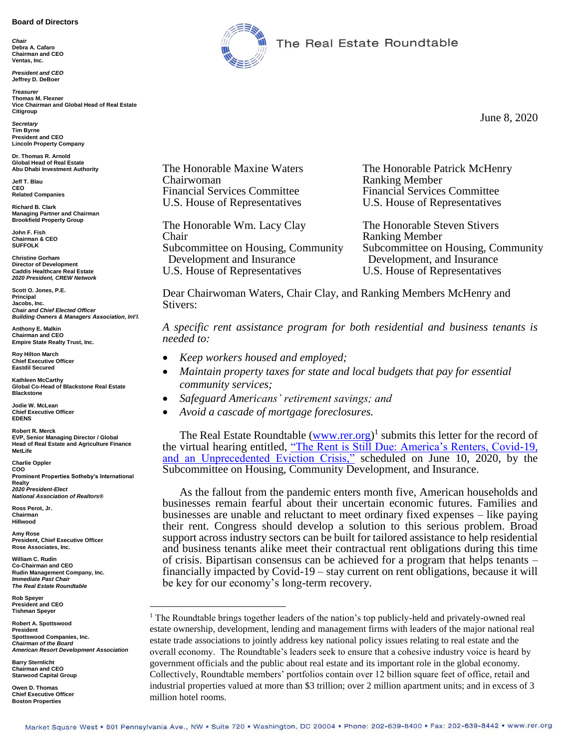#### **Board of Directors**

*Chair* **Debra A. Cafaro Chairman and CEO Ventas, Inc.**

*President and CEO* **Jeffrey D. DeBoer**

*Treasurer* **Thomas M. Flexner Vice Chairman and Global Head of Real Estate Citigroup**

*Secretary* **Tim Byrne President and CEO Lincoln Property Company**

**Dr. Thomas R. Arnold Global Head of Real Estate Abu Dhabi Investment Authority**

**Jeff T. Blau CEO Related Companies**

**Richard B. Clark Managing Partner and Chairman Brookfield Property Group**

**John F. Fish Chairman & CEO SUFFOLK**

**Christine Gorham Director of Development Caddis Healthcare Real Estate** *2020 President, CREW Network*

**Scott O. Jones, P.E. Principal Jacobs, Inc.** *Chair and Chief Elected Officer Building Owners & Managers Association, Int'l.*

**Anthony E. Malkin Chairman and CEO Empire State Realty Trust, Inc.**

**Roy Hilton March Chief Executive Officer Eastdil Secured**

**Kathleen McCarthy Global Co-Head of Blackstone Real Estate Blackstone**

**Jodie W. McLean Chief Executive Officer EDENS**

**Robert R. Merck EVP, Senior Managing Director / Global Head of Real Estate and Agriculture Finance MetLife**

**Charlie Oppler COO Prominent Properties Sotheby's International Realty** *2020 President-Elect National Association of Realtors®*

**Ross Perot, Jr. Chairman Hillwood**

**Amy Rose President, Chief Executive Officer Rose Associates, Inc.**

**William C. Rudin Co-Chairman and CEO Rudin Management Company, Inc.** *Immediate Past Chair The Real Estate Roundtable*

**Rob Speyer President and CEO Tishman Speyer**

**Robert A. Spottswood President Spottswood Companies, Inc.** *Chairman of the Board American Resort Development Association*  $\overline{a}$ 

**Barry Sternlicht Chairman and CEO Starwood Capital Group**

**Owen D. Thomas Chief Executive Officer Boston Properties**



The Real Estate Roundtable

June 8, 2020

Chairwoman Ranking Member Financial Services Committee Financial Services Committee

The Honorable Wm. Lacy Clay The Honorable Steven Stivers Chair Ranking Member Development and Insurance Development, and Insurance U.S. House of Representatives U.S. House of Representatives

The Honorable Maxine Waters The Honorable Patrick McHenry U.S. House of Representatives U.S. House of Representatives

Subcommittee on Housing, Community Subcommittee on Housing, Community

Dear Chairwoman Waters, Chair Clay, and Ranking Members McHenry and Stivers:

*A specific rent assistance program for both residential and business tenants is needed to:*

- *Keep workers housed and employed;*
- *Maintain property taxes for state and local budgets that pay for essential community services;*
- *Safeguard Americans' retirement savings; and*
- *Avoid a cascade of mortgage foreclosures.*

The Real Estate Roundtable [\(www.rer.org\)](http://www.rer.org/)<sup>1</sup> submits this letter for the record of the virtual hearing entitled, ["The Rent is Still Due: America's Renters, Covid-19,](https://financialservices.house.gov/calendar/eventsingle.aspx?EventID=406611)  [and an Unprecedented Eviction Crisis,"](https://financialservices.house.gov/calendar/eventsingle.aspx?EventID=406611) scheduled on June 10, 2020, by the Subcommittee on Housing, Community Development, and Insurance.

As the fallout from the pandemic enters month five, American households and businesses remain fearful about their uncertain economic futures. Families and businesses are unable and reluctant to meet ordinary fixed expenses – like paying their rent. Congress should develop a solution to this serious problem. Broad support across industry sectors can be built for tailored assistance to help residential and business tenants alike meet their contractual rent obligations during this time of crisis. Bipartisan consensus can be achieved for a program that helps tenants – financially impacted by Covid-19 – stay current on rent obligations, because it will be key for our economy's long-term recovery.

<sup>&</sup>lt;sup>1</sup> The Roundtable brings together leaders of the nation's top publicly-held and privately-owned real estate ownership, development, lending and management firms with leaders of the major national real estate trade associations to jointly address key national policy issues relating to real estate and the overall economy. The Roundtable's leaders seek to ensure that a cohesive industry voice is heard by government officials and the public about real estate and its important role in the global economy. Collectively, Roundtable members' portfolios contain over 12 billion square feet of office, retail and industrial properties valued at more than \$3 trillion; over 2 million apartment units; and in excess of 3 million hotel rooms.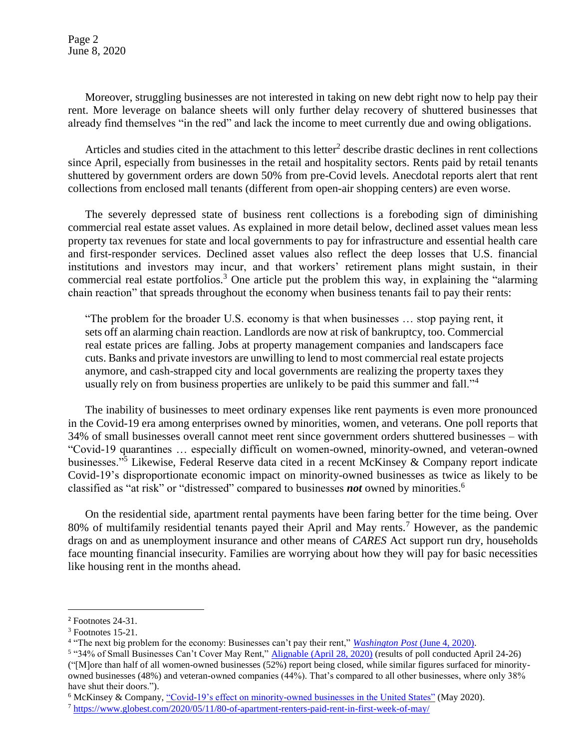Page 2 June 8, 2020

Moreover, struggling businesses are not interested in taking on new debt right now to help pay their rent. More leverage on balance sheets will only further delay recovery of shuttered businesses that already find themselves "in the red" and lack the income to meet currently due and owing obligations.

Articles and studies cited in the attachment to this letter<sup>2</sup> describe drastic declines in rent collections since April, especially from businesses in the retail and hospitality sectors. Rents paid by retail tenants shuttered by government orders are down 50% from pre-Covid levels. Anecdotal reports alert that rent collections from enclosed mall tenants (different from open-air shopping centers) are even worse.

The severely depressed state of business rent collections is a foreboding sign of diminishing commercial real estate asset values. As explained in more detail below, declined asset values mean less property tax revenues for state and local governments to pay for infrastructure and essential health care and first-responder services. Declined asset values also reflect the deep losses that U.S. financial institutions and investors may incur, and that workers' retirement plans might sustain, in their commercial real estate portfolios.<sup>3</sup> One article put the problem this way, in explaining the "alarming" chain reaction" that spreads throughout the economy when business tenants fail to pay their rents:

"The problem for the broader U.S. economy is that when businesses … stop paying rent, it sets off an alarming chain reaction. Landlords are now at risk of bankruptcy, too. Commercial real estate prices are falling. Jobs at property management companies and landscapers face cuts. Banks and private investors are unwilling to lend to most commercial real estate projects anymore, and cash-strapped city and local governments are realizing the property taxes they usually rely on from business properties are unlikely to be paid this summer and fall."<sup>4</sup>

The inability of businesses to meet ordinary expenses like rent payments is even more pronounced in the Covid-19 era among enterprises owned by minorities, women, and veterans. One poll reports that 34% of small businesses overall cannot meet rent since government orders shuttered businesses – with "Covid-19 quarantines … especially difficult on women-owned, minority-owned, and veteran-owned businesses."<sup>5</sup> Likewise, Federal Reserve data cited in a recent McKinsey & Company report indicate Covid-19's disproportionate economic impact on minority-owned businesses as twice as likely to be classified as "at risk" or "distressed" compared to businesses *not* owned by minorities.<sup>6</sup>

On the residential side, apartment rental payments have been faring better for the time being. Over 80% of multifamily residential tenants payed their April and May rents.<sup>7</sup> However, as the pandemic drags on and as unemployment insurance and other means of *CARES* Act support run dry, households face mounting financial insecurity. Families are worrying about how they will pay for basic necessities like housing rent in the months ahead.

 $2$  Footnotes 24-31.

 $3$  Footnotes 15-21.

<sup>&</sup>lt;sup>4</sup> "The next big problem for the economy: Businesses can't pay their rent," *[Washington Post](https://www.washingtonpost.com/business/2020/06/03/next-big-problem-businesses-cant-or-wont-pay-their-rent-its-setting-off-dangerous-chain-reaction/)* (June 4, 2020).

<sup>&</sup>lt;sup>5</sup> "34% of Small Businesses Can't Cover May Rent," [Alignable \(April 28, 2020\)](https://www.alignable.com/forum/34-of-small-businesses-can-t-cover-may-rent) (results of poll conducted April 24-26) ("[M]ore than half of all women-owned businesses (52%) report being closed, while similar figures surfaced for minorityowned businesses (48%) and veteran-owned companies (44%). That's compared to all other businesses, where only 38% have shut their doors.").

<sup>6</sup> McKinsey & Company, ["Covid-19's effect on minority-owned businesses in the United States"](https://www.mckinsey.com/~/media/McKinsey/Industries/Social%20Sector/Our%20Insights/COVID%2019s%20effect%20on%20minority%20owned%20small%20businesses%20in%20the%20United%20States/COVID-19s-effect-on-minority-owned-small-businesses-in-the-United-States.ashx) (May 2020).

<sup>7</sup> <https://www.globest.com/2020/05/11/80-of-apartment-renters-paid-rent-in-first-week-of-may/>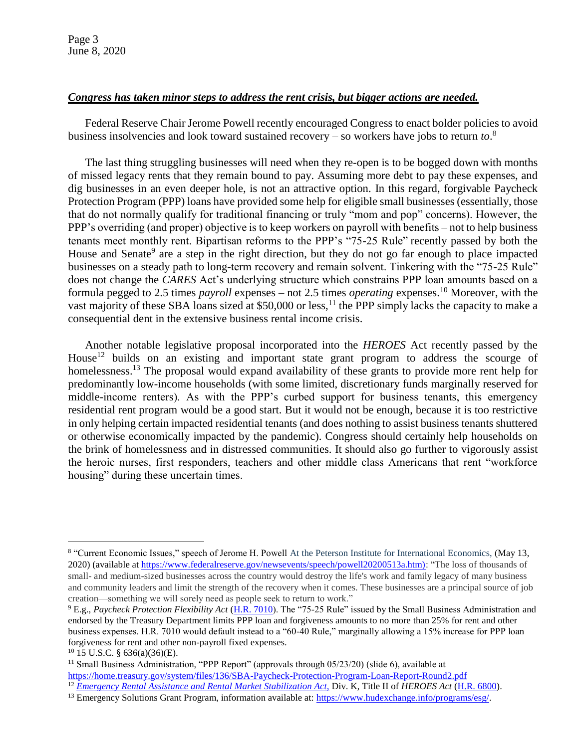Page 3 June 8, 2020

#### *Congress has taken minor steps to address the rent crisis, but bigger actions are needed.*

Federal Reserve Chair Jerome Powell recently encouraged Congress to enact bolder policies to avoid business insolvencies and look toward sustained recovery – so workers have jobs to return *to*. 8

The last thing struggling businesses will need when they re-open is to be bogged down with months of missed legacy rents that they remain bound to pay. Assuming more debt to pay these expenses, and dig businesses in an even deeper hole, is not an attractive option. In this regard, forgivable Paycheck Protection Program (PPP) loans have provided some help for eligible small businesses (essentially, those that do not normally qualify for traditional financing or truly "mom and pop" concerns). However, the PPP's overriding (and proper) objective is to keep workers on payroll with benefits – not to help business tenants meet monthly rent. Bipartisan reforms to the PPP's "75-25 Rule" recently passed by both the House and Senate<sup>9</sup> are a step in the right direction, but they do not go far enough to place impacted businesses on a steady path to long-term recovery and remain solvent. Tinkering with the "75-25 Rule" does not change the *CARES* Act's underlying structure which constrains PPP loan amounts based on a formula pegged to 2.5 times *payroll* expenses – not 2.5 times *operating* expenses.<sup>10</sup> Moreover, with the vast majority of these SBA loans sized at  $$50,000$  or less,<sup>11</sup> the PPP simply lacks the capacity to make a consequential dent in the extensive business rental income crisis.

Another notable legislative proposal incorporated into the *HEROES* Act recently passed by the House<sup>12</sup> builds on an existing and important state grant program to address the scourge of homelessness.<sup>13</sup> The proposal would expand availability of these grants to provide more rent help for predominantly low-income households (with some limited, discretionary funds marginally reserved for middle-income renters). As with the PPP's curbed support for business tenants, this emergency residential rent program would be a good start. But it would not be enough, because it is too restrictive in only helping certain impacted residential tenants (and does nothing to assist business tenants shuttered or otherwise economically impacted by the pandemic). Congress should certainly help households on the brink of homelessness and in distressed communities. It should also go further to vigorously assist the heroic nurses, first responders, teachers and other middle class Americans that rent "workforce housing" during these uncertain times.

<sup>&</sup>lt;sup>8</sup> "Current Economic Issues," speech of Jerome H. Powell At the Peterson Institute for International Economics, (May 13, 2020) (available at [https://www.federalreserve.gov/newsevents/speech/powell20200513a.htm\):](https://www.federalreserve.gov/newsevents/speech/powell20200513a.htm)) "The loss of thousands of small- and medium-sized businesses across the country would destroy the life's work and family legacy of many business and community leaders and limit the strength of the recovery when it comes. These businesses are a principal source of job creation—something we will sorely need as people seek to return to work."

<sup>9</sup> E.g., *Paycheck Protection Flexibility Act* [\(H.R. 7010\)](https://www.congress.gov/bill/116th-congress/house-bill/7010). The "75-25 Rule" issued by the Small Business Administration and endorsed by the Treasury Department limits PPP loan and forgiveness amounts to no more than 25% for rent and other business expenses. H.R. 7010 would default instead to a "60-40 Rule," marginally allowing a 15% increase for PPP loan forgiveness for rent and other non-payroll fixed expenses.

<sup>10</sup> 15 U.S.C. § 636(a)(36)(E).

<sup>&</sup>lt;sup>11</sup> Small Business Administration, "PPP Report" (approvals through 05/23/20) (slide 6), available at <https://home.treasury.gov/system/files/136/SBA-Paycheck-Protection-Program-Loan-Report-Round2.pdf>

<sup>12</sup> *[Emergency Rental Assistance and Rental Market Stabilization Act,](https://financialservices.house.gov/news/documentsingle.aspx?DocumentID=406538)* Div. K, Title II of *HEROES Act* [\(H.R. 6800\)](https://www.congress.gov/bill/116th-congress/house-bill/6800/text).

<sup>13</sup> Emergency Solutions Grant Program, information available at: [https://www.hudexchange.info/programs/esg/.](https://www.hudexchange.info/programs/esg/)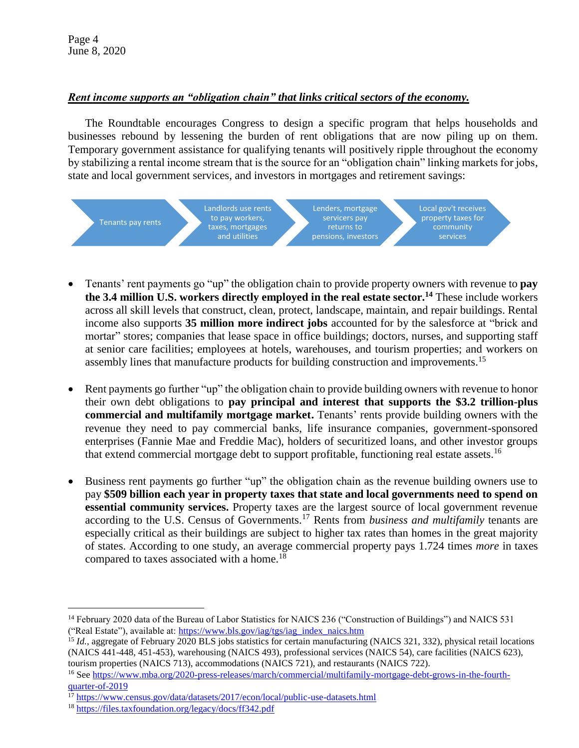# *Rent income supports an "obligation chain" that links critical sectors of the economy.*

The Roundtable encourages Congress to design a specific program that helps households and businesses rebound by lessening the burden of rent obligations that are now piling up on them. Temporary government assistance for qualifying tenants will positively ripple throughout the economy by stabilizing a rental income stream that is the source for an "obligation chain" linking markets for jobs, state and local government services, and investors in mortgages and retirement savings:



- Tenants' rent payments go "up" the obligation chain to provide property owners with revenue to **pay the 3.4 million U.S. workers directly employed in the real estate sector.<sup>14</sup>** These include workers across all skill levels that construct, clean, protect, landscape, maintain, and repair buildings. Rental income also supports **35 million more indirect jobs** accounted for by the salesforce at "brick and mortar" stores; companies that lease space in office buildings; doctors, nurses, and supporting staff at senior care facilities; employees at hotels, warehouses, and tourism properties; and workers on assembly lines that manufacture products for building construction and improvements.<sup>15</sup>
- Rent payments go further "up" the obligation chain to provide building owners with revenue to honor their own debt obligations to **pay principal and interest that supports the \$3.2 trillion-plus commercial and multifamily mortgage market.** Tenants' rents provide building owners with the revenue they need to pay commercial banks, life insurance companies, government-sponsored enterprises (Fannie Mae and Freddie Mac), holders of securitized loans, and other investor groups that extend commercial mortgage debt to support profitable, functioning real estate assets.<sup>16</sup>
- Business rent payments go further "up" the obligation chain as the revenue building owners use to pay **\$509 billion each year in property taxes that state and local governments need to spend on essential community services.** Property taxes are the largest source of local government revenue according to the U.S. Census of Governments.<sup>17</sup> Rents from *business and multifamily* tenants are especially critical as their buildings are subject to higher tax rates than homes in the great majority of states. According to one study, an average commercial property pays 1.724 times *more* in taxes compared to taxes associated with a home.<sup>18</sup>

<sup>&</sup>lt;sup>14</sup> February 2020 data of the Bureau of Labor Statistics for NAICS 236 ("Construction of Buildings") and NAICS 531 ("Real Estate"), available at: [https://www.bls.gov/iag/tgs/iag\\_index\\_naics.htm](https://www.bls.gov/iag/tgs/iag_index_naics.htm)

<sup>&</sup>lt;sup>15</sup> *Id.*, aggregate of February 2020 BLS jobs statistics for certain manufacturing (NAICS 321, 332), physical retail locations (NAICS 441-448, 451-453), warehousing (NAICS 493), professional services (NAICS 54), care facilities (NAICS 623), tourism properties (NAICS 713), accommodations (NAICS 721), and restaurants (NAICS 722).

<sup>16</sup> See [https://www.mba.org/2020-press-releases/march/commercial/multifamily-mortgage-debt-grows-in-the-fourth](https://www.mba.org/2020-press-releases/march/commercial/multifamily-mortgage-debt-grows-in-the-fourth-quarter-of-2019)[quarter-of-2019](https://www.mba.org/2020-press-releases/march/commercial/multifamily-mortgage-debt-grows-in-the-fourth-quarter-of-2019)

 $17$  <https://www.census.gov/data/datasets/2017/econ/local/public-use-datasets.html>

<sup>18</sup> <https://files.taxfoundation.org/legacy/docs/ff342.pdf>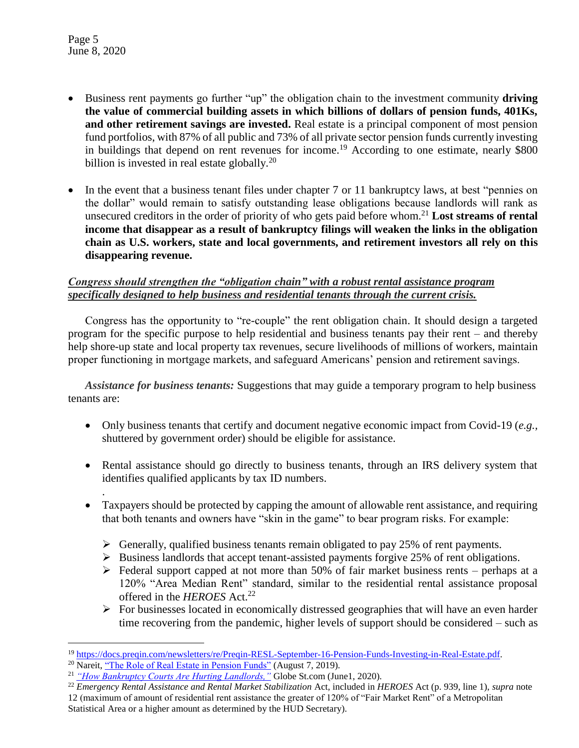Page 5 June 8, 2020

.

- Business rent payments go further "up" the obligation chain to the investment community **driving the value of commercial building assets in which billions of dollars of pension funds, 401Ks, and other retirement savings are invested.** Real estate is a principal component of most pension fund portfolios, with 87% of all public and 73% of all private sector pension funds currently investing in buildings that depend on rent revenues for income.<sup>19</sup> According to one estimate, nearly \$800 billion is invested in real estate globally. $^{20}$
- In the event that a business tenant files under chapter 7 or 11 bankruptcy laws, at best "pennies on the dollar" would remain to satisfy outstanding lease obligations because landlords will rank as unsecured creditors in the order of priority of who gets paid before whom.<sup>21</sup> **Lost streams of rental income that disappear as a result of bankruptcy filings will weaken the links in the obligation chain as U.S. workers, state and local governments, and retirement investors all rely on this disappearing revenue.**

### *Congress should strengthen the "obligation chain" with a robust rental assistance program specifically designed to help business and residential tenants through the current crisis.*

Congress has the opportunity to "re-couple" the rent obligation chain. It should design a targeted program for the specific purpose to help residential and business tenants pay their rent – and thereby help shore-up state and local property tax revenues, secure livelihoods of millions of workers, maintain proper functioning in mortgage markets, and safeguard Americans' pension and retirement savings.

*Assistance for business tenants:* Suggestions that may guide a temporary program to help business tenants are:

- Only business tenants that certify and document negative economic impact from Covid-19 (*e.g.,* shuttered by government order) should be eligible for assistance.
- Rental assistance should go directly to business tenants, through an IRS delivery system that identifies qualified applicants by tax ID numbers.
- Taxpayers should be protected by capping the amount of allowable rent assistance, and requiring that both tenants and owners have "skin in the game" to bear program risks. For example:
	- $\triangleright$  Generally, qualified business tenants remain obligated to pay 25% of rent payments.
	- $\triangleright$  Business landlords that accept tenant-assisted payments forgive 25% of rent obligations.
	- $\triangleright$  Federal support capped at not more than 50% of fair market business rents perhaps at a 120% "Area Median Rent" standard, similar to the residential rental assistance proposal offered in the *HEROES* Act.<sup>22</sup>
	- $\triangleright$  For businesses located in economically distressed geographies that will have an even harder time recovering from the pandemic, higher levels of support should be considered – such as

 $\overline{a}$ <sup>19</sup> [https://docs.preqin.com/newsletters/re/Preqin-RESL-September-16-Pension-Funds-Investing-in-Real-Estate.pdf.](https://docs.preqin.com/newsletters/re/Preqin-RESL-September-16-Pension-Funds-Investing-in-Real-Estate.pdf)

<sup>&</sup>lt;sup>20</sup> Nareit, ["The Role of Real Estate in Pension Funds"](https://www.reit.com/news/blog/nareit-developments/role-real-estate-pension-funds#:~:text=One%20very%20simple%20approach%20is,their%20investments%20to%20real%20estate.) (August 7, 2019).

<sup>21</sup> *["How Bankruptcy Courts Are Hurting Landlords,"](https://www.globest.com/2020/06/01/how-bankruptcy-courts-are-hurting-landlords/?kw=How%20Bankruptcy%20Courts%20Are%20Hurting%20Landlords&utm_source=email&utm_medium=enl&utm_campaign=netlease&utm_content=20200602&utm_term=rem)* Globe St.com (June1, 2020).

<sup>22</sup> *Emergency Rental Assistance and Rental Market Stabilization* Act*,* included in *HEROES* Act (p. 939, line 1), *supra* note

<sup>12</sup> (maximum of amount of residential rent assistance the greater of 120% of "Fair Market Rent" of a Metropolitan Statistical Area or a higher amount as determined by the HUD Secretary).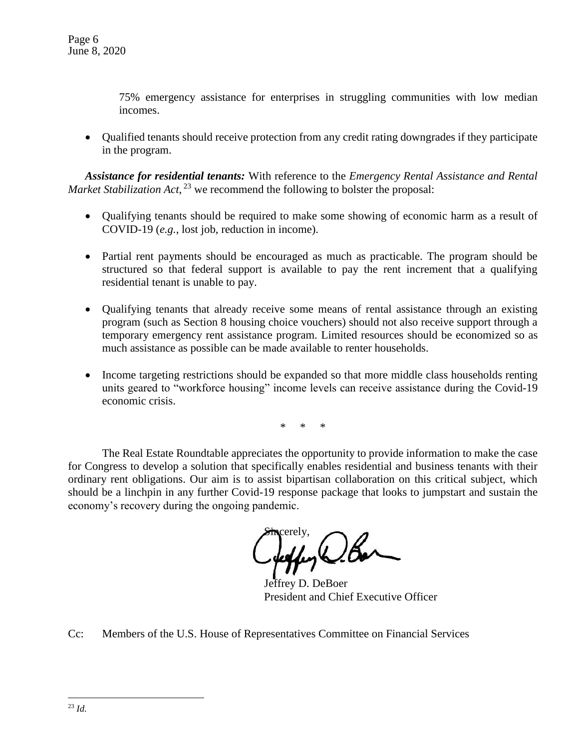75% emergency assistance for enterprises in struggling communities with low median incomes.

 Qualified tenants should receive protection from any credit rating downgrades if they participate in the program.

*Assistance for residential tenants:* With reference to the *Emergency Rental Assistance and Rental Market Stabilization Act*,<sup>23</sup> we recommend the following to bolster the proposal:

- Oualifying tenants should be required to make some showing of economic harm as a result of COVID-19 (*e.g.*, lost job, reduction in income).
- Partial rent payments should be encouraged as much as practicable. The program should be structured so that federal support is available to pay the rent increment that a qualifying residential tenant is unable to pay.
- Qualifying tenants that already receive some means of rental assistance through an existing program (such as Section 8 housing choice vouchers) should not also receive support through a temporary emergency rent assistance program. Limited resources should be economized so as much assistance as possible can be made available to renter households.
- Income targeting restrictions should be expanded so that more middle class households renting units geared to "workforce housing" income levels can receive assistance during the Covid-19 economic crisis.

\* \* \*

The Real Estate Roundtable appreciates the opportunity to provide information to make the case for Congress to develop a solution that specifically enables residential and business tenants with their ordinary rent obligations. Our aim is to assist bipartisan collaboration on this critical subject, which should be a linchpin in any further Covid-19 response package that looks to jumpstart and sustain the economy's recovery during the ongoing pandemic.

Sincerely,  $(1)$ K

Jeffrey D. DeBoer President and Chief Executive Officer

Cc: Members of the U.S. House of Representatives Committee on Financial Services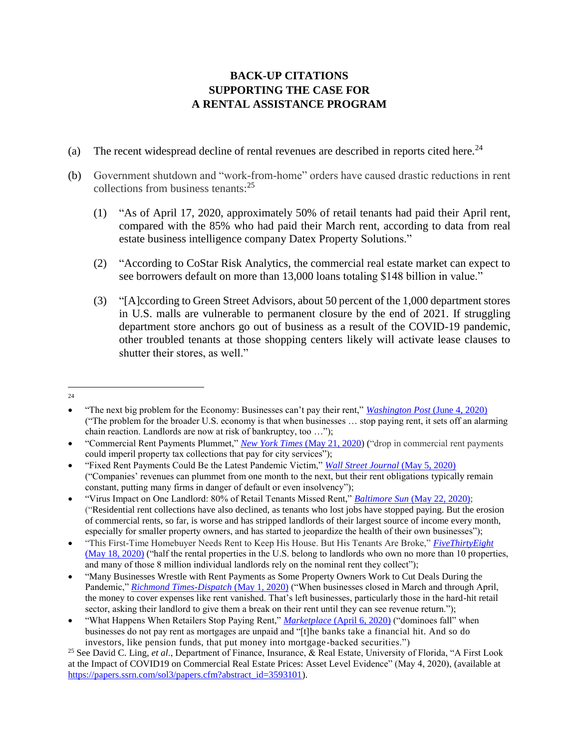# **BACK-UP CITATIONS SUPPORTING THE CASE FOR A RENTAL ASSISTANCE PROGRAM**

- (a) The recent widespread decline of rental revenues are described in reports cited here.<sup>24</sup>
- (b) Government shutdown and "work-from-home" orders have caused drastic reductions in rent collections from business tenants:<sup>25</sup>
	- (1) "As of April 17, 2020, approximately 50% of retail tenants had paid their April rent, compared with the 85% who had paid their March rent, according to data from real estate business intelligence company Datex Property Solutions."
	- (2) "According to CoStar Risk Analytics, the commercial real estate market can expect to see borrowers default on more than 13,000 loans totaling \$148 billion in value."
	- (3) "[A]ccording to Green Street Advisors, about 50 percent of the 1,000 department stores in U.S. malls are vulnerable to permanent closure by the end of 2021. If struggling department store anchors go out of business as a result of the COVID-19 pandemic, other troubled tenants at those shopping centers likely will activate lease clauses to shutter their stores, as well."
- $\overline{a}$  $24$

"The next big problem for the Economy: Businesses can't pay their rent," *[Washington Post](https://www.washingtonpost.com/business/2020/06/03/next-big-problem-businesses-cant-or-wont-pay-their-rent-its-setting-off-dangerous-chain-reaction/)* (June 4, 2020) ("The problem for the broader U.S. economy is that when businesses … stop paying rent, it sets off an alarming chain reaction. Landlords are now at risk of bankruptcy, too …");

"Commercial Rent Payments Plummet," *[New York Times](https://www.nytimes.com/2020/05/21/nyregion/commercial-rent-NYC-coronavirus.html)* (May 21, 2020) ("drop in commercial rent payments could imperil property tax collections that pay for city services");

"Fixed Rent Payments Could Be the Latest Pandemic Victim," *[Wall Street Journal](https://www.wsj.com/articles/never-mind-how-high-the-rent-is-companies-say-its-too-damned-fixed-11588680010)* (May 5, 2020) ("Companies' revenues can plummet from one month to the next, but their rent obligations typically remain constant, putting many firms in danger of default or even insolvency");

"Virus Impact on One Landlord: 80% of Retail Tenants Missed Rent," *Baltimore Sun* [\(May 22, 2020\);](https://www.baltimoresun.com/coronavirus/sns-nyt-most-of-landlords-retail-tenants-missed-rent-20200522-2uk3jjshozhd7cjamh4yqrijye-story.html) ("Residential rent collections have also declined, as tenants who lost jobs have stopped paying. But the erosion of commercial rents, so far, is worse and has stripped landlords of their largest source of income every month, especially for smaller property owners, and has started to jeopardize the health of their own businesses");

"This First-Time Homebuyer Needs Rent to Keep His House. But His Tenants Are Broke," *[FiveThirtyEight](https://fivethirtyeight.com/features/this-first-time-homebuyer-needs-rent-to-keep-his-house-but-his-tenants-are-broke/)* [\(May 18, 2020\)](https://fivethirtyeight.com/features/this-first-time-homebuyer-needs-rent-to-keep-his-house-but-his-tenants-are-broke/) ("half the rental properties in the U.S. belong to landlords who own no more than 10 properties, and many of those 8 million individual landlords rely on the nominal rent they collect");

"Many Businesses Wrestle with Rent Payments as Some Property Owners Work to Cut Deals During the Pandemic," *[Richmond Times-Dispatch](https://www.richmond.com/business/many-businesses-wrestle-with-rent-payments-as-some-property-owners-work-to-cut-deals-during/article_99f9dda7-959b-5903-803f-5e1793ef38fa.html)* (May 1, 2020) ("When businesses closed in March and through April, the money to cover expenses like rent vanished. That's left businesses, particularly those in the hard-hit retail sector, asking their landlord to give them a break on their rent until they can see revenue return.");

"What Happens When Retailers Stop Paying Rent," *Marketplace* [\(April 6, 2020\)](https://www.marketplace.org/2020/04/06/what-happens-when-retailers-stop-paying-rent/) ("dominoes fall" when businesses do not pay rent as mortgages are unpaid and "[t]he banks take a financial hit. And so do investors, like pension funds, that put money into mortgage-backed securities.")

<sup>25</sup> See David C. Ling, *et al*., Department of Finance, Insurance, & Real Estate, University of Florida, "A First Look at the Impact of COVID19 on Commercial Real Estate Prices: Asset Level Evidence" (May 4, 2020), (available at [https://papers.ssrn.com/sol3/papers.cfm?abstract\\_id=3593101\)](https://papers.ssrn.com/sol3/papers.cfm?abstract_id=3593101).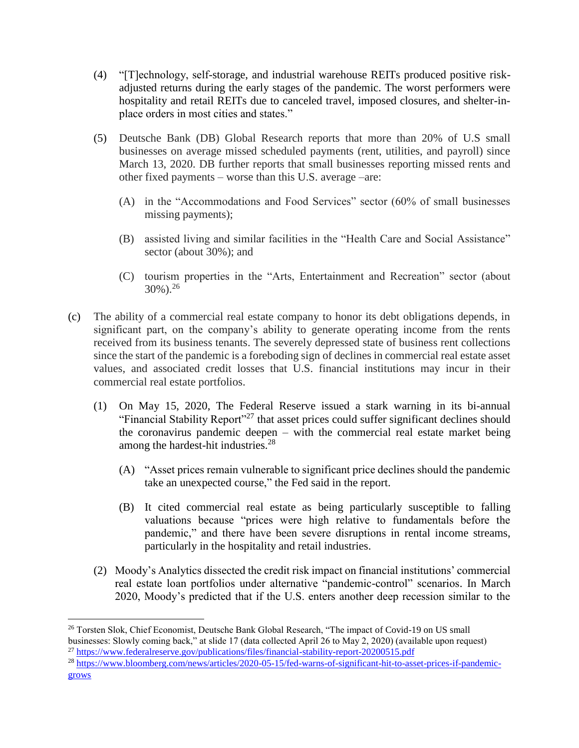- (4) "[T]echnology, self-storage, and industrial warehouse REITs produced positive riskadjusted returns during the early stages of the pandemic. The worst performers were hospitality and retail REITs due to canceled travel, imposed closures, and shelter-inplace orders in most cities and states."
- (5) Deutsche Bank (DB) Global Research reports that more than 20% of U.S small businesses on average missed scheduled payments (rent, utilities, and payroll) since March 13, 2020. DB further reports that small businesses reporting missed rents and other fixed payments – worse than this U.S. average –are:
	- (A) in the "Accommodations and Food Services" sector (60% of small businesses missing payments);
	- (B) assisted living and similar facilities in the "Health Care and Social Assistance" sector (about 30%); and
	- (C) tourism properties in the "Arts, Entertainment and Recreation" sector (about  $30\%$ ).<sup>26</sup>
- (c) The ability of a commercial real estate company to honor its debt obligations depends, in significant part, on the company's ability to generate operating income from the rents received from its business tenants. The severely depressed state of business rent collections since the start of the pandemic is a foreboding sign of declines in commercial real estate asset values, and associated credit losses that U.S. financial institutions may incur in their commercial real estate portfolios.
	- (1) On May 15, 2020, The Federal Reserve issued a stark warning in its bi-annual "Financial Stability Report"<sup>27</sup> that asset prices could suffer significant declines should the coronavirus pandemic deepen – with the commercial real estate market being among the hardest-hit industries.<sup>28</sup>
		- (A) "Asset prices remain vulnerable to significant price declines should the pandemic take an unexpected course," the Fed said in the report.
		- (B) It cited commercial real estate as being particularly susceptible to falling valuations because "prices were high relative to fundamentals before the pandemic," and there have been severe disruptions in rental income streams, particularly in the hospitality and retail industries.
	- (2) Moody's Analytics dissected the credit risk impact on financial institutions' commercial real estate loan portfolios under alternative "pandemic-control" scenarios. In March 2020, Moody's predicted that if the U.S. enters another deep recession similar to the

 $\overline{a}$ 

<sup>28</sup> https://www.bloomberg.com/news/article<u>s/2020-05-15/fed-warns-of-significant-hit-to-asset-prices-if-pandemic-</u> [grows](https://www.bloomberg.com/news/articles/2020-05-15/fed-warns-of-significant-hit-to-asset-prices-if-pandemic-grows)

<sup>&</sup>lt;sup>26</sup> Torsten Slok, Chief Economist, Deutsche Bank Global Research, "The impact of Covid-19 on US small businesses: Slowly coming back," at slide 17 (data collected April 26 to May 2, 2020) (available upon request)

<sup>27</sup> <https://www.federalreserve.gov/publications/files/financial-stability-report-20200515.pdf>